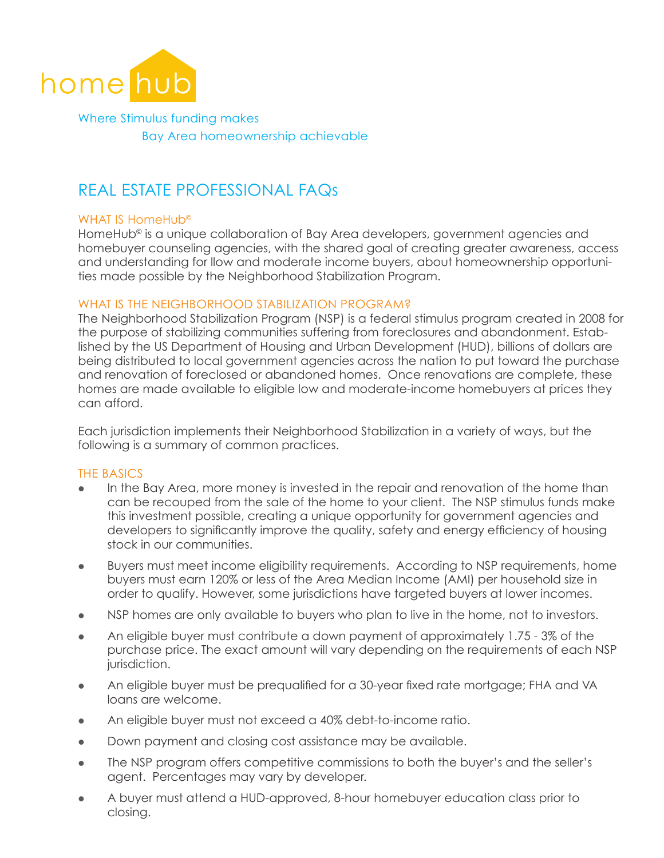

Where Stimulus funding makes Bay Area homeownership achievable

# REAL ESTATE PROFESSIONAL FAQs

## WHAT IS HomeHub<sup>®</sup>

HomeHub<sup>®</sup> is a unique collaboration of Bay Area developers, government agencies and homebuyer counseling agencies, with the shared goal of creating greater awareness, access and understanding for llow and moderate income buyers, about homeownership opportunities made possible by the Neighborhood Stabilization Program.

## WHAT IS THE NEIGHBORHOOD STABILIZATION PROGRAM?

The Neighborhood Stabilization Program (NSP) is a federal stimulus program created in 2008 for the purpose of stabilizing communities suffering from foreclosures and abandonment. Established by the US Department of Housing and Urban Development (HUD), billions of dollars are being distributed to local government agencies across the nation to put toward the purchase and renovation of foreclosed or abandoned homes. Once renovations are complete, these homes are made available to eligible low and moderate-income homebuyers at prices they can afford.

Each jurisdiction implements their Neighborhood Stabilization in a variety of ways, but the following is a summary of common practices.

## The Basics

- In the Bay Area, more money is invested in the repair and renovation of the home than can be recouped from the sale of the home to your client. The NSP stimulus funds make this investment possible, creating a unique opportunity for government agencies and developers to significantly improve the quality, safety and energy efficiency of housing stock in our communities.
- Buyers must meet income eligibility requirements. According to NSP requirements, home buyers must earn 120% or less of the Area Median Income (AMI) per household size in order to qualify. However, some jurisdictions have targeted buyers at lower incomes.
- NSP homes are only available to buyers who plan to live in the home, not to investors.
- An eligible buyer must contribute a down payment of approximately  $1.75 3\%$  of the purchase price. The exact amount will vary depending on the requirements of each NSP jurisdiction.
- An eligible buyer must be prequalified for a 30-year fixed rate mortgage; FHA and VA loans are welcome.
- An eligible buyer must not exceed a 40% debt-to-income ratio.
- Down payment and closing cost assistance may be available.
- The NSP program offers competitive commissions to both the buyer's and the seller's agent. Percentages may vary by developer.
- l A buyer must attend a HUD-approved, 8-hour homebuyer education class prior to closing.